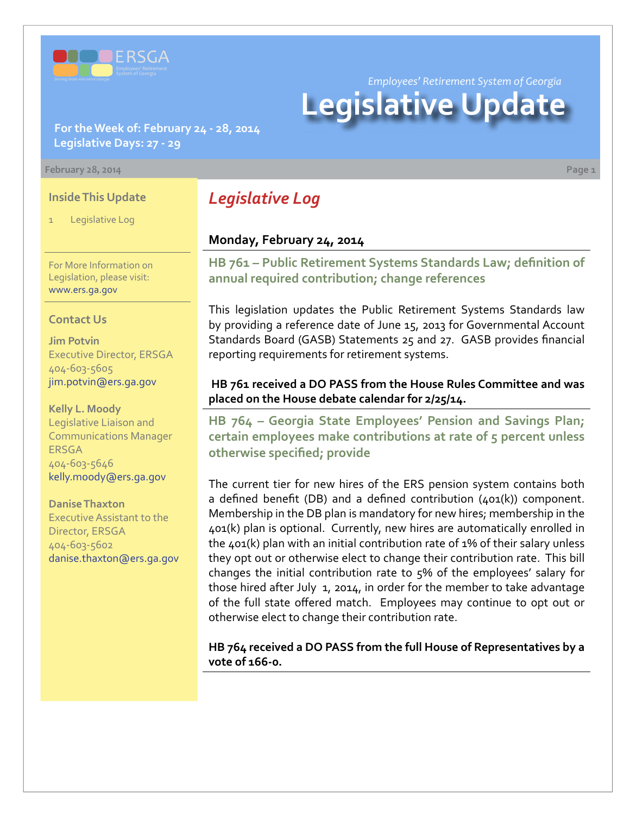

*Employees' Retirement System of Georgia*

# **Legislative Update**

**For the Week of: February 24 - 28, 2014 Legislative Days: 27 - 29**

#### **February 28, 2014 Page 1**

#### **Inside This Update**

Legislative Log

For More Information on Legislation, please visit: [www.ers.ga.gov](http://www.ers.ga.gov/default.aspx)

#### **Contact Us**

**Jim Potvin** Executive Director, ERSGA 404-603-5605 jim.potvin@ers.ga.gov

**Kelly L. Moody** Legislative Liaison and Communications Manager ERSGA 404-603-5646 kelly.moody@ers.ga.gov

**Danise Thaxton** Executive Assistant to the Director, ERSGA 404-603-5602 danise.thaxton@ers.ga.gov

# *Legislative Log*

#### **Monday, February 24, 2014**

**HB [761 – P](http://www.legis.ga.gov/legislation/en-US/Display/20132014/HB/761)ublic Retirement Systems Standards Law; definition of annual required contribution; change references**

This legislation updates the Public Retirement Systems Standards law by providing a reference date of June 15, 2013 for Governmental Account Standards Board (GASB) Statements 25 and 27. GASB provides financial reporting requirements for retirement systems.

#### **HB 761 received a DO PASS from the House Rules Committee and was placed on the House debate calendar for 2/25/14.**

**HB [764 –](http://www.legis.ga.gov/legislation/en-US/Display/20132014/HB/764) Georgia State Employees' Pension and Savings Plan; certain employees make contributions at rate of 5 percent unless otherwise specified; provide**

The current tier for new hires of the ERS pension system contains both a defined benefit (DB) and a defined contribution (401(k)) component. Membership in the DB plan is mandatory for new hires; membership in the 401(k) plan is optional. Currently, new hires are automatically enrolled in the 401(k) plan with an initial contribution rate of 1% of their salary unless they opt out or otherwise elect to change their contribution rate. This bill changes the initial contribution rate to 5% of the employees' salary for those hired after July 1, 2014, in order for the member to take advantage of the full state offered match. Employees may continue to opt out or otherwise elect to change their contribution rate.

**HB 764 received a DO PASS from the full House of Representatives by a vote of 166-0.**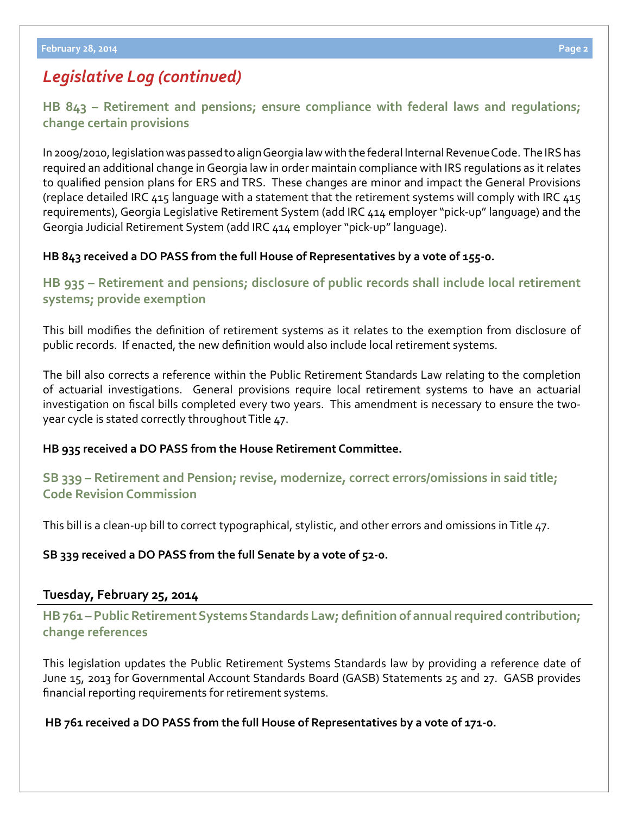## *Legislative Log (continued)*

**HB [843 – R](http://www.legis.ga.gov/legislation/en-US/Display/20132014/HB/843)etirement and pensions; ensure compliance with federal laws and regulations; change certain provisions**

In 2009/2010, legislation was passed to align Georgia law with the federal Internal Revenue Code. The IRS has required an additional change in Georgia law in order maintain compliance with IRS regulations as it relates to qualified pension plans for ERS and TRS. These changes are minor and impact the General Provisions (replace detailed IRC 415 language with a statement that the retirement systems will comply with IRC 415 requirements), Georgia Legislative Retirement System (add IRC 414 employer "pick-up" language) and the Georgia Judicial Retirement System (add IRC 414 employer "pick-up" language).

#### **HB 843 received a DO PASS from the full House of Representatives by a vote of 155-0.**

**HB [935 –](http://www.legis.ga.gov/legislation/en-US/Display/20132014/HB/935) Retirement and pensions; disclosure of public records shall include local retirement systems; provide exemption**

This bill modifies the definition of retirement systems as it relates to the exemption from disclosure of public records. If enacted, the new definition would also include local retirement systems.

The bill also corrects a reference within the Public Retirement Standards Law relating to the completion of actuarial investigations. General provisions require local retirement systems to have an actuarial investigation on fiscal bills completed every two years. This amendment is necessary to ensure the twoyear cycle is stated correctly throughout Title 47.

#### **HB 935 received a DO PASS from the House Retirement Committee.**

### **S[B 339 –](http://www.legis.ga.gov/legislation/en-US/Display/20132014/SB/339) Retirement and Pension; revise, modernize, correct errors/omissions in said title; Code Revision Commission**

This bill is a clean-up bill to correct typographical, stylistic, and other errors and omissions in Title 47.

**SB 339 received a DO PASS from the full Senate by a vote of 52-0.**

#### **Tuesday, February 25, 2014**

**HB [761 –](http://www.legis.ga.gov/legislation/en-US/Display/20132014/HB/761) Public Retirement Systems Standards Law; definition of annual required contribution; change references**

This legislation updates the Public Retirement Systems Standards law by providing a reference date of June 15, 2013 for Governmental Account Standards Board (GASB) Statements 25 and 27. GASB provides financial reporting requirements for retirement systems.

#### **HB 761 received a DO PASS from the full House of Representatives by a vote of 171-0.**